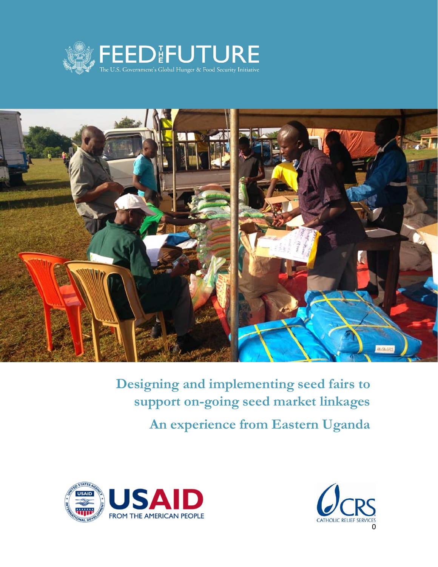



**Designing and implementing seed fairs to support on-going seed market linkages An experience from Eastern Uganda**



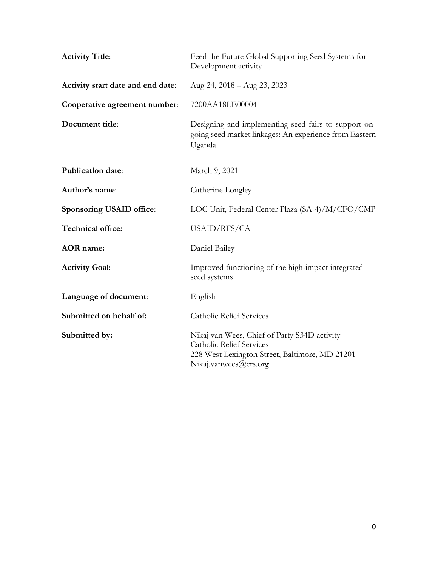| <b>Activity Title:</b>            | Feed the Future Global Supporting Seed Systems for<br>Development activity                                                                                 |  |
|-----------------------------------|------------------------------------------------------------------------------------------------------------------------------------------------------------|--|
| Activity start date and end date: | Aug 24, 2018 - Aug 23, 2023                                                                                                                                |  |
| Cooperative agreement number:     | 7200AA18LE00004                                                                                                                                            |  |
| Document title:                   | Designing and implementing seed fairs to support on-<br>going seed market linkages: An experience from Eastern<br>Uganda                                   |  |
| <b>Publication date:</b>          | March 9, 2021                                                                                                                                              |  |
| Author's name:                    | Catherine Longley                                                                                                                                          |  |
| Sponsoring USAID office:          | LOC Unit, Federal Center Plaza (SA-4)/M/CFO/CMP                                                                                                            |  |
| Technical office:                 | USAID/RFS/CA                                                                                                                                               |  |
| <b>AOR</b> name:                  | Daniel Bailey                                                                                                                                              |  |
| <b>Activity Goal:</b>             | Improved functioning of the high-impact integrated<br>seed systems                                                                                         |  |
| Language of document:             | English                                                                                                                                                    |  |
| Submitted on behalf of:           | <b>Catholic Relief Services</b>                                                                                                                            |  |
| Submitted by:                     | Nikaj van Wees, Chief of Party S34D activity<br><b>Catholic Relief Services</b><br>228 West Lexington Street, Baltimore, MD 21201<br>Nikaj.vanwees@crs.org |  |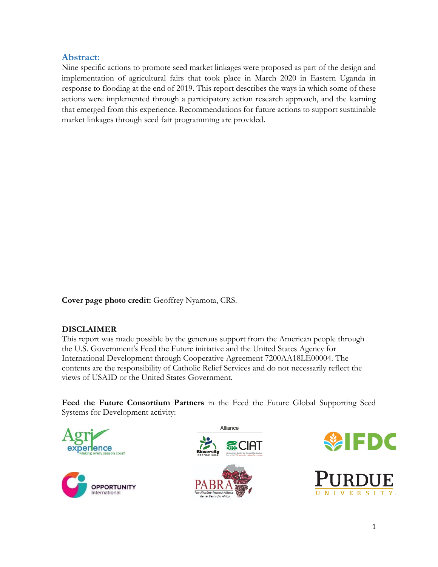### **Abstract:**

Nine specific actions to promote seed market linkages were proposed as part of the design and implementation of agricultural fairs that took place in March 2020 in Eastern Uganda in response to flooding at the end of 2019. This report describes the ways in which some of these actions were implemented through a participatory action research approach, and the learning that emerged from this experience. Recommendations for future actions to support sustainable market linkages through seed fair programming are provided.

**Cover page photo credit:** Geoffrey Nyamota, CRS.

### **DISCLAIMER**

This report was made possible by the generous support from the American people through the U.S. Government's Feed the Future initiative and the United States Agency for International Development through Cooperative Agreement 7200AA18LE00004. The contents are the responsibility of Catholic Relief Services and do not necessarily reflect the views of USAID or the United States Government.

**Feed the Future Consortium Partners** in the Feed the Future Global Supporting Seed Systems for Development activity:











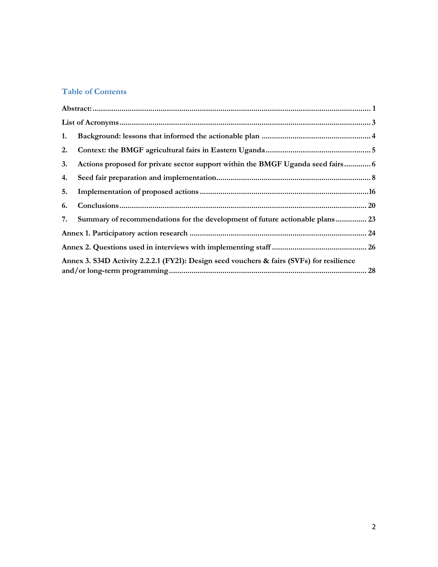### **Table of Contents**

| 1. |                                                                                           |    |
|----|-------------------------------------------------------------------------------------------|----|
| 2. |                                                                                           |    |
| 3. | Actions proposed for private sector support within the BMGF Uganda seed fairs 6           |    |
| 4. |                                                                                           |    |
| 5. |                                                                                           |    |
| 6. |                                                                                           |    |
| 7. | Summary of recommendations for the development of future actionable plans 23              |    |
|    |                                                                                           |    |
|    |                                                                                           |    |
|    | Annex 3. S34D Activity 2.2.2.1 (FY21): Design seed vouchers & fairs (SVFs) for resilience | 28 |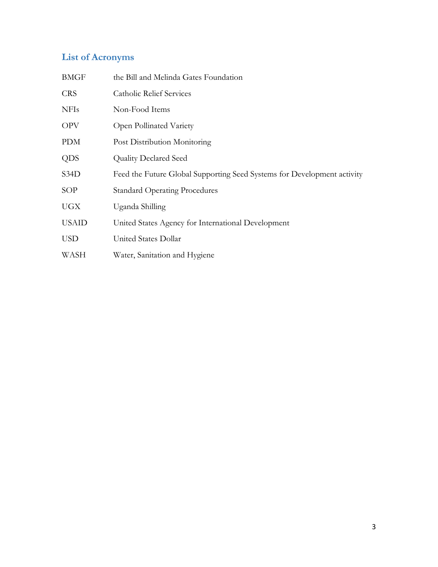# **List of Acronyms**

| <b>BMGF</b>  | the Bill and Melinda Gates Foundation                                   |
|--------------|-------------------------------------------------------------------------|
| <b>CRS</b>   | <b>Catholic Relief Services</b>                                         |
| <b>NFIs</b>  | Non-Food Items                                                          |
| <b>OPV</b>   | Open Pollinated Variety                                                 |
| <b>PDM</b>   | Post Distribution Monitoring                                            |
| <b>QDS</b>   | <b>Quality Declared Seed</b>                                            |
| S34D         | Feed the Future Global Supporting Seed Systems for Development activity |
| SOP          | <b>Standard Operating Procedures</b>                                    |
| <b>UGX</b>   | Uganda Shilling                                                         |
| <b>USAID</b> | United States Agency for International Development                      |
| <b>USD</b>   | United States Dollar                                                    |
| WASH         | Water, Sanitation and Hygiene                                           |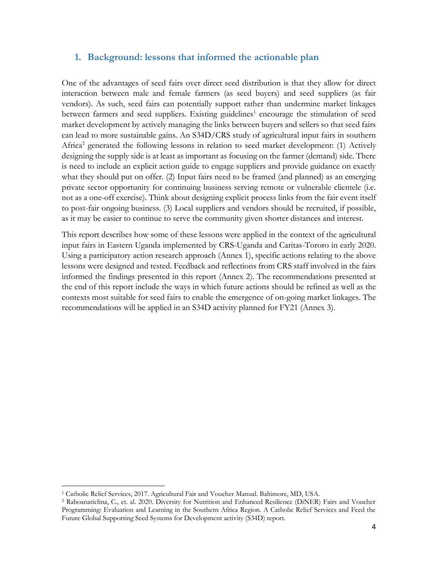### **1. Background: lessons that informed the actionable plan**

One of the advantages of seed fairs over direct seed distribution is that they allow for direct interaction between male and female farmers (as seed buyers) and seed suppliers (as fair vendors). As such, seed fairs can potentially support rather than undermine market linkages between farmers and seed suppliers. Existing guidelines<sup>1</sup> encourage the stimulation of seed market development by actively managing the links between buyers and sellers so that seed fairs can lead to more sustainable gains. An S34D/CRS study of agricultural input fairs in southern Africa<sup>2</sup> generated the following lessons in relation to seed market development: (1) Actively designing the supply side is at least as important as focusing on the farmer (demand) side. There is need to include an explicit action guide to engage suppliers and provide guidance on exactly what they should put on offer. (2) Input fairs need to be framed (and planned) as an emerging private sector opportunity for continuing business serving remote or vulnerable clientele (i.e. not as a one-off exercise). Think about designing explicit process links from the fair event itself to post-fair ongoing business. (3) Local suppliers and vendors should be recruited, if possible, as it may be easier to continue to serve the community given shorter distances and interest.

This report describes how some of these lessons were applied in the context of the agricultural input fairs in Eastern Uganda implemented by CRS-Uganda and Caritas-Tororo in early 2020. Using a participatory action research approach (Annex 1), specific actions relating to the above lessons were designed and tested. Feedback and reflections from CRS staff involved in the fairs informed the findings presented in this report (Annex 2). The recommendations presented at the end of this report include the ways in which future actions should be refined as well as the contexts most suitable for seed fairs to enable the emergence of on-going market linkages. The recommendations will be applied in an S34D activity planned for FY21 (Annex 3).

<sup>1</sup> Catholic Relief Services, 2017. Agricultural Fair and Voucher Manual. Baltimore, MD, USA.

<sup>2</sup> Raboanarielina, C., et. al. 2020. Diversity for Nutrition and Enhanced Resilience (DiNER) Fairs and Voucher Programming: Evaluation and Learning in the Southern Africa Region. A Catholic Relief Services and Feed the Future Global Supporting Seed Systems for Development activity (S34D) report.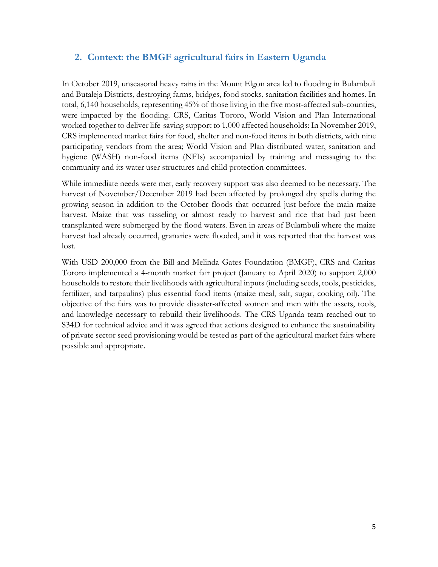# **2. Context: the BMGF agricultural fairs in Eastern Uganda**

In October 2019, unseasonal heavy rains in the Mount Elgon area led to flooding in Bulambuli and Butaleja Districts, destroying farms, bridges, food stocks, sanitation facilities and homes. In total, 6,140 households, representing 45% of those living in the five most-affected sub-counties, were impacted by the flooding. CRS, Caritas Tororo, World Vision and Plan International worked together to deliver life-saving support to 1,000 affected households: In November 2019, CRS implemented market fairs for food, shelter and non-food items in both districts, with nine participating vendors from the area; World Vision and Plan distributed water, sanitation and hygiene (WASH) non-food items (NFIs) accompanied by training and messaging to the community and its water user structures and child protection committees.

While immediate needs were met, early recovery support was also deemed to be necessary. The harvest of November/December 2019 had been affected by prolonged dry spells during the growing season in addition to the October floods that occurred just before the main maize harvest. Maize that was tasseling or almost ready to harvest and rice that had just been transplanted were submerged by the flood waters. Even in areas of Bulambuli where the maize harvest had already occurred, granaries were flooded, and it was reported that the harvest was lost.

With USD 200,000 from the Bill and Melinda Gates Foundation (BMGF), CRS and Caritas Tororo implemented a 4-month market fair project (January to April 2020) to support 2,000 households to restore their livelihoods with agricultural inputs (including seeds, tools, pesticides, fertilizer, and tarpaulins) plus essential food items (maize meal, salt, sugar, cooking oil). The objective of the fairs was to provide disaster-affected women and men with the assets, tools, and knowledge necessary to rebuild their livelihoods. The CRS-Uganda team reached out to S34D for technical advice and it was agreed that actions designed to enhance the sustainability of private sector seed provisioning would be tested as part of the agricultural market fairs where possible and appropriate.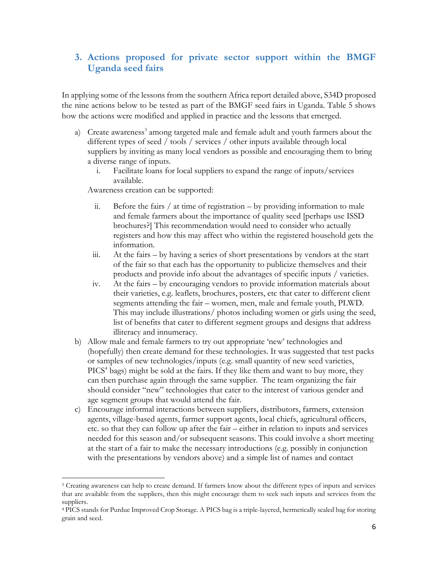# **3. Actions proposed for private sector support within the BMGF Uganda seed fairs**

In applying some of the lessons from the southern Africa report detailed above, S34D proposed the nine actions below to be tested as part of the BMGF seed fairs in Uganda. Table 5 shows how the actions were modified and applied in practice and the lessons that emerged.

- a) Create awareness<sup>3</sup> among targeted male and female adult and youth farmers about the different types of seed / tools / services / other inputs available through local suppliers by inviting as many local vendors as possible and encouraging them to bring a diverse range of inputs.
	- i. Facilitate loans for local suppliers to expand the range of inputs/services available.

Awareness creation can be supported:

- ii. Before the fairs  $/$  at time of registration by providing information to male and female farmers about the importance of quality seed [perhaps use ISSD brochures?] This recommendation would need to consider who actually registers and how this may affect who within the registered household gets the information.
- iii. At the fairs by having a series of short presentations by vendors at the start of the fair so that each has the opportunity to publicize themselves and their products and provide info about the advantages of specific inputs / varieties.
- iv. At the fairs by encouraging vendors to provide information materials about their varieties, e.g. leaflets, brochures, posters, etc that cater to different client segments attending the fair – women, men, male and female youth, PLWD. This may include illustrations/ photos including women or girls using the seed, list of benefits that cater to different segment groups and designs that address illiteracy and innumeracy.
- b) Allow male and female farmers to try out appropriate 'new' technologies and (hopefully) then create demand for these technologies. It was suggested that test packs or samples of new technologies/inputs (e.g. small quantity of new seed varieties, PICS<sup>4</sup> bags) might be sold at the fairs. If they like them and want to buy more, they can then purchase again through the same supplier. The team organizing the fair should consider "new" technologies that cater to the interest of various gender and age segment groups that would attend the fair.
- c) Encourage informal interactions between suppliers, distributors, farmers, extension agents, village-based agents, farmer support agents, local chiefs, agricultural officers, etc. so that they can follow up after the fair – either in relation to inputs and services needed for this season and/or subsequent seasons. This could involve a short meeting at the start of a fair to make the necessary introductions (e.g. possibly in conjunction with the presentations by vendors above) and a simple list of names and contact

<sup>3</sup> Creating awareness can help to create demand. If farmers know about the different types of inputs and services that are available from the suppliers, then this might encourage them to seek such inputs and services from the suppliers.

<sup>4</sup> PICS stands for Purdue Improved Crop Storage. A PICS bag is a triple-layered, hermetically sealed bag for storing grain and seed.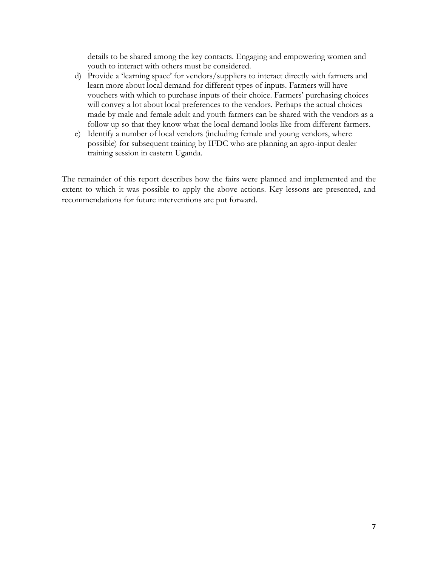details to be shared among the key contacts. Engaging and empowering women and youth to interact with others must be considered.

- d) Provide a 'learning space' for vendors/suppliers to interact directly with farmers and learn more about local demand for different types of inputs. Farmers will have vouchers with which to purchase inputs of their choice. Farmers' purchasing choices will convey a lot about local preferences to the vendors. Perhaps the actual choices made by male and female adult and youth farmers can be shared with the vendors as a follow up so that they know what the local demand looks like from different farmers.
- e) Identify a number of local vendors (including female and young vendors, where possible) for subsequent training by IFDC who are planning an agro-input dealer training session in eastern Uganda.

The remainder of this report describes how the fairs were planned and implemented and the extent to which it was possible to apply the above actions. Key lessons are presented, and recommendations for future interventions are put forward.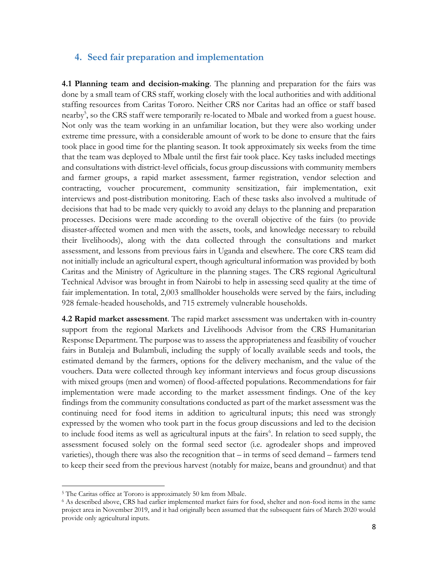#### **4. Seed fair preparation and implementation**

**4.1 Planning team and decision-making**. The planning and preparation for the fairs was done by a small team of CRS staff, working closely with the local authorities and with additional staffing resources from Caritas Tororo. Neither CRS nor Caritas had an office or staff based nearby<sup>5</sup>, so the CRS staff were temporarily re-located to Mbale and worked from a guest house. Not only was the team working in an unfamiliar location, but they were also working under extreme time pressure, with a considerable amount of work to be done to ensure that the fairs took place in good time for the planting season. It took approximately six weeks from the time that the team was deployed to Mbale until the first fair took place. Key tasks included meetings and consultations with district-level officials, focus group discussions with community members and farmer groups, a rapid market assessment, farmer registration, vendor selection and contracting, voucher procurement, community sensitization, fair implementation, exit interviews and post-distribution monitoring. Each of these tasks also involved a multitude of decisions that had to be made very quickly to avoid any delays to the planning and preparation processes. Decisions were made according to the overall objective of the fairs (to provide disaster-affected women and men with the assets, tools, and knowledge necessary to rebuild their livelihoods), along with the data collected through the consultations and market assessment, and lessons from previous fairs in Uganda and elsewhere. The core CRS team did not initially include an agricultural expert, though agricultural information was provided by both Caritas and the Ministry of Agriculture in the planning stages. The CRS regional Agricultural Technical Advisor was brought in from Nairobi to help in assessing seed quality at the time of fair implementation. In total, 2,003 smallholder households were served by the fairs, including 928 female-headed households, and 715 extremely vulnerable households.

**4.2 Rapid market assessment**. The rapid market assessment was undertaken with in-country support from the regional Markets and Livelihoods Advisor from the CRS Humanitarian Response Department. The purpose was to assess the appropriateness and feasibility of voucher fairs in Butaleja and Bulambuli, including the supply of locally available seeds and tools, the estimated demand by the farmers, options for the delivery mechanism, and the value of the vouchers. Data were collected through key informant interviews and focus group discussions with mixed groups (men and women) of flood-affected populations. Recommendations for fair implementation were made according to the market assessment findings. One of the key findings from the community consultations conducted as part of the market assessment was the continuing need for food items in addition to agricultural inputs; this need was strongly expressed by the women who took part in the focus group discussions and led to the decision to include food items as well as agricultural inputs at the fairs<sup>6</sup>. In relation to seed supply, the assessment focused solely on the formal seed sector (i.e. agrodealer shops and improved varieties), though there was also the recognition that – in terms of seed demand – farmers tend to keep their seed from the previous harvest (notably for maize, beans and groundnut) and that

<sup>5</sup> The Caritas office at Tororo is approximately 50 km from Mbale.

<sup>6</sup> As described above, CRS had earlier implemented market fairs for food, shelter and non-food items in the same project area in November 2019, and it had originally been assumed that the subsequent fairs of March 2020 would provide only agricultural inputs.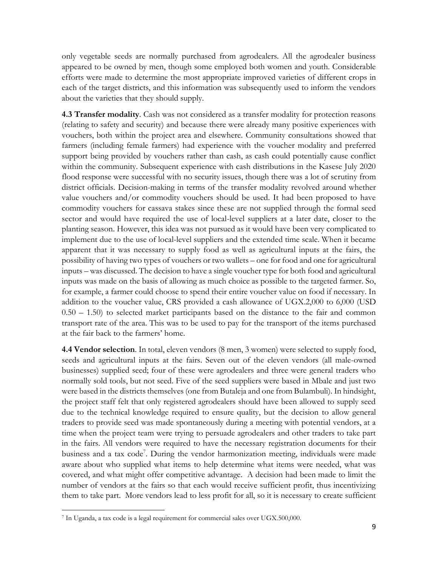only vegetable seeds are normally purchased from agrodealers. All the agrodealer business appeared to be owned by men, though some employed both women and youth. Considerable efforts were made to determine the most appropriate improved varieties of different crops in each of the target districts, and this information was subsequently used to inform the vendors about the varieties that they should supply.

**4.3 Transfer modality**. Cash was not considered as a transfer modality for protection reasons (relating to safety and security) and because there were already many positive experiences with vouchers, both within the project area and elsewhere. Community consultations showed that farmers (including female farmers) had experience with the voucher modality and preferred support being provided by vouchers rather than cash, as cash could potentially cause conflict within the community. Subsequent experience with cash distributions in the Kasese July 2020 flood response were successful with no security issues, though there was a lot of scrutiny from district officials. Decision-making in terms of the transfer modality revolved around whether value vouchers and/or commodity vouchers should be used. It had been proposed to have commodity vouchers for cassava stakes since these are not supplied through the formal seed sector and would have required the use of local-level suppliers at a later date, closer to the planting season. However, this idea was not pursued as it would have been very complicated to implement due to the use of local-level suppliers and the extended time scale. When it became apparent that it was necessary to supply food as well as agricultural inputs at the fairs, the possibility of having two types of vouchers or two wallets – one for food and one for agricultural inputs – was discussed. The decision to have a single voucher type for both food and agricultural inputs was made on the basis of allowing as much choice as possible to the targeted farmer. So, for example, a farmer could choose to spend their entire voucher value on food if necessary. In addition to the voucher value, CRS provided a cash allowance of UGX.2,000 to 6,000 (USD 0.50 – 1.50) to selected market participants based on the distance to the fair and common transport rate of the area. This was to be used to pay for the transport of the items purchased at the fair back to the farmers' home.

**4.4 Vendor selection**. In total, eleven vendors (8 men, 3 women) were selected to supply food, seeds and agricultural inputs at the fairs. Seven out of the eleven vendors (all male-owned businesses) supplied seed; four of these were agrodealers and three were general traders who normally sold tools, but not seed. Five of the seed suppliers were based in Mbale and just two were based in the districts themselves (one from Butaleja and one from Bulambuli). In hindsight, the project staff felt that only registered agrodealers should have been allowed to supply seed due to the technical knowledge required to ensure quality, but the decision to allow general traders to provide seed was made spontaneously during a meeting with potential vendors, at a time when the project team were trying to persuade agrodealers and other traders to take part in the fairs. All vendors were required to have the necessary registration documents for their business and a tax code<sup>7</sup>. During the vendor harmonization meeting, individuals were made aware about who supplied what items to help determine what items were needed, what was covered, and what might offer competitive advantage. A decision had been made to limit the number of vendors at the fairs so that each would receive sufficient profit, thus incentivizing them to take part. More vendors lead to less profit for all, so it is necessary to create sufficient

<sup>7</sup> In Uganda, a tax code is a legal requirement for commercial sales over UGX.500,000.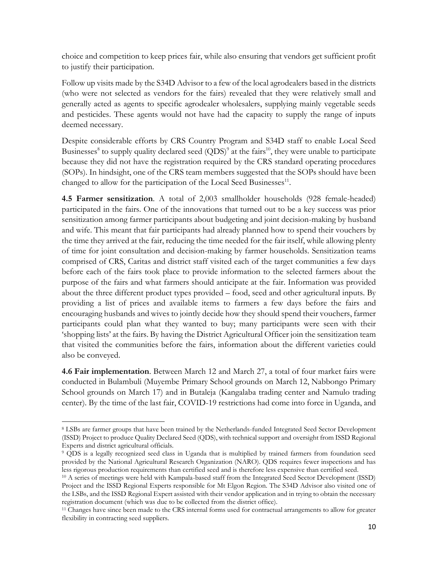choice and competition to keep prices fair, while also ensuring that vendors get sufficient profit to justify their participation.

Follow up visits made by the S34D Advisor to a few of the local agrodealers based in the districts (who were not selected as vendors for the fairs) revealed that they were relatively small and generally acted as agents to specific agrodealer wholesalers, supplying mainly vegetable seeds and pesticides. These agents would not have had the capacity to supply the range of inputs deemed necessary.

Despite considerable efforts by CRS Country Program and S34D staff to enable Local Seed Businesses<sup>8</sup> to supply quality declared seed  $(QDS)^9$  at the fairs<sup>10</sup>, they were unable to participate because they did not have the registration required by the CRS standard operating procedures (SOPs). In hindsight, one of the CRS team members suggested that the SOPs should have been changed to allow for the participation of the Local Seed Businesses<sup>11</sup>.

**4.5 Farmer sensitization**. A total of 2,003 smallholder households (928 female-headed) participated in the fairs. One of the innovations that turned out to be a key success was prior sensitization among farmer participants about budgeting and joint decision-making by husband and wife. This meant that fair participants had already planned how to spend their vouchers by the time they arrived at the fair, reducing the time needed for the fair itself, while allowing plenty of time for joint consultation and decision-making by farmer households. Sensitization teams comprised of CRS, Caritas and district staff visited each of the target communities a few days before each of the fairs took place to provide information to the selected farmers about the purpose of the fairs and what farmers should anticipate at the fair. Information was provided about the three different product types provided – food, seed and other agricultural inputs. By providing a list of prices and available items to farmers a few days before the fairs and encouraging husbands and wives to jointly decide how they should spend their vouchers, farmer participants could plan what they wanted to buy; many participants were seen with their 'shopping lists' at the fairs. By having the District Agricultural Officer join the sensitization team that visited the communities before the fairs, information about the different varieties could also be conveyed.

**4.6 Fair implementation**. Between March 12 and March 27, a total of four market fairs were conducted in Bulambuli (Muyembe Primary School grounds on March 12, Nabbongo Primary School grounds on March 17) and in Butaleja (Kangalaba trading center and Namulo trading center). By the time of the last fair, COVID-19 restrictions had come into force in Uganda, and

<sup>8</sup> LSBs are farmer groups that have been trained by the Netherlands-funded Integrated Seed Sector Development (ISSD) Project to produce Quality Declared Seed (QDS), with technical support and oversight from ISSD Regional Experts and district agricultural officials.

<sup>9</sup> QDS is a legally recognized seed class in Uganda that is multiplied by trained farmers from foundation seed provided by the National Agricultural Research Organization (NARO). QDS requires fewer inspections and has less rigorous production requirements than certified seed and is therefore less expensive than certified seed.

<sup>10</sup> A series of meetings were held with Kampala-based staff from the Integrated Seed Sector Development (ISSD) Project and the ISSD Regional Experts responsible for Mt Elgon Region. The S34D Advisor also visited one of the LSBs, and the ISSD Regional Expert assisted with their vendor application and in trying to obtain the necessary registration document (which was due to be collected from the district office).

<sup>&</sup>lt;sup>11</sup> Changes have since been made to the CRS internal forms used for contractual arrangements to allow for greater flexibility in contracting seed suppliers.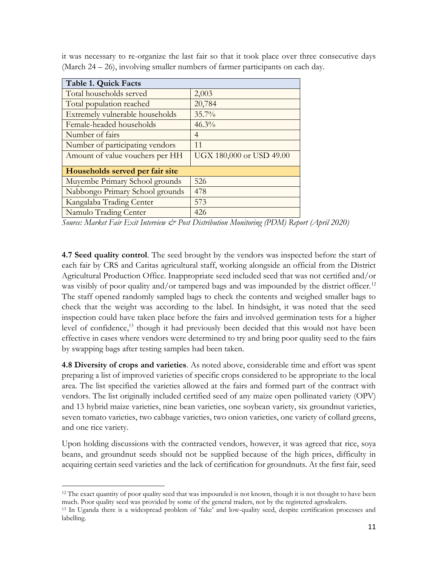| <b>Table 1. Quick Facts</b>     |                          |
|---------------------------------|--------------------------|
| Total households served         | 2,003                    |
| Total population reached        | 20,784                   |
| Extremely vulnerable households | $35.7\%$                 |
| Female-headed households        | $46.3\%$                 |
| Number of fairs                 | $\overline{4}$           |
| Number of participating vendors | 11                       |
| Amount of value vouchers per HH | UGX 180,000 or USD 49.00 |
| Households served per fair site |                          |
| Muyembe Primary School grounds  | 526                      |
| Nabbongo Primary School grounds | 478                      |
| Kangalaba Trading Center        | 573                      |
| Namulo Trading Center           | 426                      |

it was necessary to re-organize the last fair so that it took place over three consecutive days (March 24 – 26), involving smaller numbers of farmer participants on each day.

*Source: Market Fair Exit Interview & Post Distribution Monitoring (PDM) Report (April 2020)*

**4.7 Seed quality control**. The seed brought by the vendors was inspected before the start of each fair by CRS and Caritas agricultural staff, working alongside an official from the District Agricultural Production Office. Inappropriate seed included seed that was not certified and/or was visibly of poor quality and/or tampered bags and was impounded by the district officer.<sup>12</sup> The staff opened randomly sampled bags to check the contents and weighed smaller bags to check that the weight was according to the label. In hindsight, it was noted that the seed inspection could have taken place before the fairs and involved germination tests for a higher level of confidence,<sup>13</sup> though it had previously been decided that this would not have been effective in cases where vendors were determined to try and bring poor quality seed to the fairs by swapping bags after testing samples had been taken.

**4.8 Diversity of crops and varieties**. As noted above, considerable time and effort was spent preparing a list of improved varieties of specific crops considered to be appropriate to the local area. The list specified the varieties allowed at the fairs and formed part of the contract with vendors. The list originally included certified seed of any maize open pollinated variety (OPV) and 13 hybrid maize varieties, nine bean varieties, one soybean variety, six groundnut varieties, seven tomato varieties, two cabbage varieties, two onion varieties, one variety of collard greens, and one rice variety.

Upon holding discussions with the contracted vendors, however, it was agreed that rice, soya beans, and groundnut seeds should not be supplied because of the high prices, difficulty in acquiring certain seed varieties and the lack of certification for groundnuts. At the first fair, seed

 $12$  The exact quantity of poor quality seed that was impounded is not known, though it is not thought to have been much. Poor quality seed was provided by some of the general traders, not by the registered agrodealers.

<sup>13</sup> In Uganda there is a widespread problem of 'fake' and low-quality seed, despite certification processes and labelling.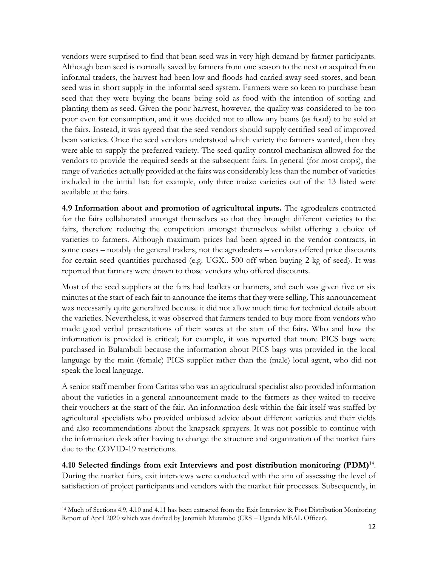vendors were surprised to find that bean seed was in very high demand by farmer participants. Although bean seed is normally saved by farmers from one season to the next or acquired from informal traders, the harvest had been low and floods had carried away seed stores, and bean seed was in short supply in the informal seed system. Farmers were so keen to purchase bean seed that they were buying the beans being sold as food with the intention of sorting and planting them as seed. Given the poor harvest, however, the quality was considered to be too poor even for consumption, and it was decided not to allow any beans (as food) to be sold at the fairs. Instead, it was agreed that the seed vendors should supply certified seed of improved bean varieties. Once the seed vendors understood which variety the farmers wanted, then they were able to supply the preferred variety. The seed quality control mechanism allowed for the vendors to provide the required seeds at the subsequent fairs. In general (for most crops), the range of varieties actually provided at the fairs was considerably less than the number of varieties included in the initial list; for example, only three maize varieties out of the 13 listed were available at the fairs.

**4.9 Information about and promotion of agricultural inputs.** The agrodealers contracted for the fairs collaborated amongst themselves so that they brought different varieties to the fairs, therefore reducing the competition amongst themselves whilst offering a choice of varieties to farmers. Although maximum prices had been agreed in the vendor contracts, in some cases – notably the general traders, not the agrodealers – vendors offered price discounts for certain seed quantities purchased (e.g. UGX.. 500 off when buying 2 kg of seed). It was reported that farmers were drawn to those vendors who offered discounts.

Most of the seed suppliers at the fairs had leaflets or banners, and each was given five or six minutes at the start of each fair to announce the items that they were selling. This announcement was necessarily quite generalized because it did not allow much time for technical details about the varieties. Nevertheless, it was observed that farmers tended to buy more from vendors who made good verbal presentations of their wares at the start of the fairs. Who and how the information is provided is critical; for example, it was reported that more PICS bags were purchased in Bulambuli because the information about PICS bags was provided in the local language by the main (female) PICS supplier rather than the (male) local agent, who did not speak the local language.

A senior staff member from Caritas who was an agricultural specialist also provided information about the varieties in a general announcement made to the farmers as they waited to receive their vouchers at the start of the fair. An information desk within the fair itself was staffed by agricultural specialists who provided unbiased advice about different varieties and their yields and also recommendations about the knapsack sprayers. It was not possible to continue with the information desk after having to change the structure and organization of the market fairs due to the COVID-19 restrictions.

**4.10 Selected findings from exit Interviews and post distribution monitoring (PDM)**<sup>14</sup> . During the market fairs, exit interviews were conducted with the aim of assessing the level of satisfaction of project participants and vendors with the market fair processes. Subsequently, in

<sup>14</sup> Much of Sections 4.9, 4.10 and 4.11 has been extracted from the Exit Interview & Post Distribution Monitoring Report of April 2020 which was drafted by Jeremiah Mutambo (CRS – Uganda MEAL Officer).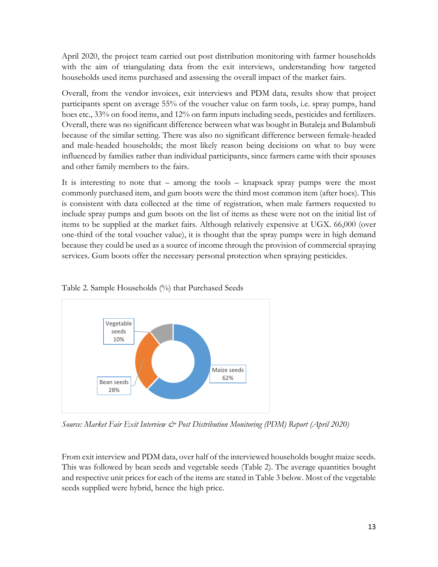April 2020, the project team carried out post distribution monitoring with farmer households with the aim of triangulating data from the exit interviews, understanding how targeted households used items purchased and assessing the overall impact of the market fairs.

Overall, from the vendor invoices, exit interviews and PDM data, results show that project participants spent on average 55% of the voucher value on farm tools, i.e. spray pumps, hand hoes etc., 33% on food items, and 12% on farm inputs including seeds, pesticides and fertilizers. Overall, there was no significant difference between what was bought in Butaleja and Bulambuli because of the similar setting. There was also no significant difference between female-headed and male-headed households; the most likely reason being decisions on what to buy were influenced by families rather than individual participants, since farmers came with their spouses and other family members to the fairs.

It is interesting to note that – among the tools – knapsack spray pumps were the most commonly purchased item, and gum boots were the third most common item (after hoes). This is consistent with data collected at the time of registration, when male farmers requested to include spray pumps and gum boots on the list of items as these were not on the initial list of items to be supplied at the market fairs. Although relatively expensive at UGX. 66,000 (over one-third of the total voucher value), it is thought that the spray pumps were in high demand because they could be used as a source of income through the provision of commercial spraying services. Gum boots offer the necessary personal protection when spraying pesticides.





*Source: Market Fair Exit Interview & Post Distribution Monitoring (PDM) Report (April 2020)*

From exit interview and PDM data, over half of the interviewed households bought maize seeds. This was followed by bean seeds and vegetable seeds (Table 2). The average quantities bought and respective unit prices for each of the items are stated in Table 3 below. Most of the vegetable seeds supplied were hybrid, hence the high price.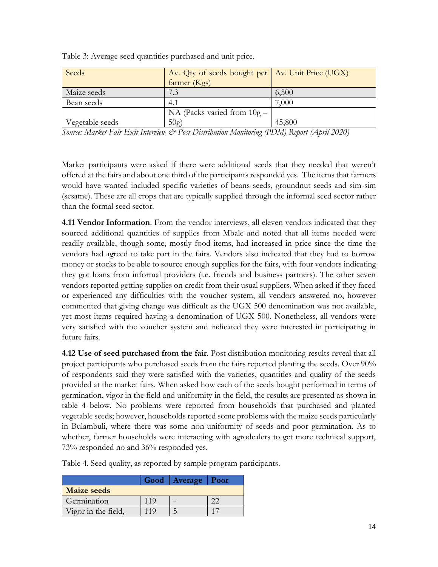| Seeds                                                                | Av. Qty of seeds bought per   Av. Unit Price (UGX) |        |
|----------------------------------------------------------------------|----------------------------------------------------|--------|
|                                                                      | farmer (Kgs)                                       |        |
| Maize seeds                                                          |                                                    | 6,500  |
| Bean seeds                                                           | 4.1                                                | 7.000  |
|                                                                      | NA (Packs varied from $10g -$                      |        |
| Vegetable seeds                                                      | 50g)                                               | 45,800 |
| $C_1, \ldots, M_m, L, L, \ldots, L, M, L, \ldots, L, \ldots, \infty$ |                                                    |        |

Table 3: Average seed quantities purchased and unit price*.*

*Source: Market Fair Exit Interview & Post Distribution Monitoring (PDM) Report (April 2020)*

Market participants were asked if there were additional seeds that they needed that weren't offered at the fairs and about one third of the participants responded yes. The items that farmers would have wanted included specific varieties of beans seeds, groundnut seeds and sim-sim (sesame). These are all crops that are typically supplied through the informal seed sector rather than the formal seed sector.

**4.11 Vendor Information**. From the vendor interviews, all eleven vendors indicated that they sourced additional quantities of supplies from Mbale and noted that all items needed were readily available, though some, mostly food items, had increased in price since the time the vendors had agreed to take part in the fairs. Vendors also indicated that they had to borrow money or stocks to be able to source enough supplies for the fairs, with four vendors indicating they got loans from informal providers (i.e. friends and business partners). The other seven vendors reported getting supplies on credit from their usual suppliers. When asked if they faced or experienced any difficulties with the voucher system, all vendors answered no, however commented that giving change was difficult as the UGX 500 denomination was not available, yet most items required having a denomination of UGX 500. Nonetheless, all vendors were very satisfied with the voucher system and indicated they were interested in participating in future fairs.

**4.12 Use of seed purchased from the fair**. Post distribution monitoring results reveal that all project participants who purchased seeds from the fairs reported planting the seeds. Over 90% of respondents said they were satisfied with the varieties, quantities and quality of the seeds provided at the market fairs. When asked how each of the seeds bought performed in terms of germination, vigor in the field and uniformity in the field, the results are presented as shown in table 4 below. No problems were reported from households that purchased and planted vegetable seeds; however, households reported some problems with the maize seeds particularly in Bulambuli, where there was some non-uniformity of seeds and poor germination. As to whether, farmer households were interacting with agrodealers to get more technical support, 73% responded no and 36% responded yes.

|                     | Good   Average   Poor |  |
|---------------------|-----------------------|--|
| <b>Maize seeds</b>  |                       |  |
| Germination         |                       |  |
| Vigor in the field, |                       |  |

Table 4. Seed quality, as reported by sample program participants.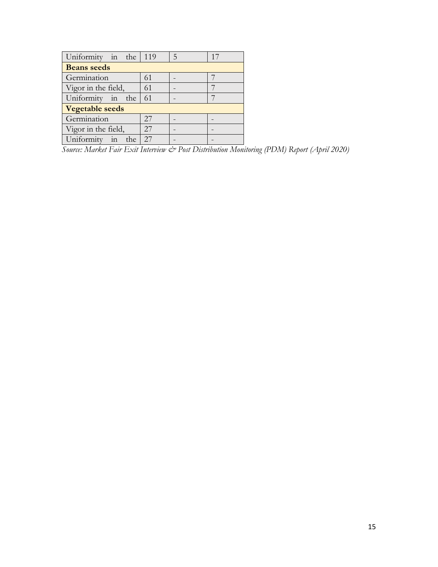| Uniformity in the 119  |    | -5 | 17 |
|------------------------|----|----|----|
| <b>Beans</b> seeds     |    |    |    |
| Germination            | 61 |    |    |
| Vigor in the field,    | 61 |    |    |
| Uniformity in the $61$ |    |    |    |
| <b>Vegetable seeds</b> |    |    |    |
| Germination            | 27 |    |    |
| Vigor in the field,    | 27 |    |    |
| Uniformity in the      | 27 |    |    |

.<br>ource *Source: Market Fair Exit Interview & Post Distribution Monitoring (PDM) Report (April 2020)*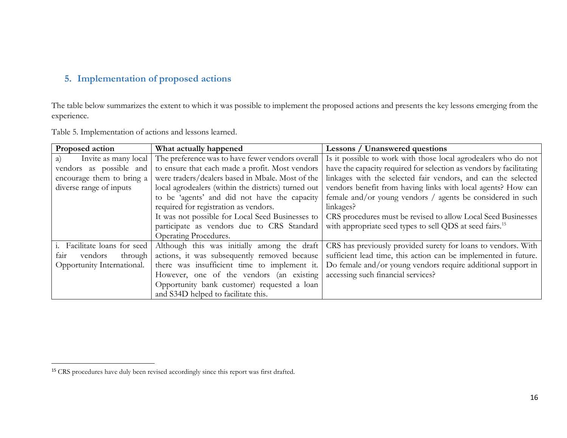# **5. Implementation of proposed actions**

The table below summarizes the extent to which it was possible to implement the proposed actions and presents the key lessons emerging from the experience.

| Proposed action                      | What actually happened                                                      | Lessons / Unanswered questions                                                                               |
|--------------------------------------|-----------------------------------------------------------------------------|--------------------------------------------------------------------------------------------------------------|
| Invite as many local<br>a)           | The preference was to have fewer vendors overall                            | Is it possible to work with those local agrodealers who do not                                               |
| vendors as possible and              | to ensure that each made a profit. Most vendors                             | have the capacity required for selection as vendors by facilitating                                          |
| encourage them to bring a            | were traders/dealers based in Mbale. Most of the                            | linkages with the selected fair vendors, and can the selected                                                |
| diverse range of inputs              | local agrodealers (within the districts) turned out                         | vendors benefit from having links with local agents? How can                                                 |
|                                      | to be 'agents' and did not have the capacity                                | female and/or young vendors / agents be considered in such                                                   |
|                                      | required for registration as vendors.                                       | linkages?                                                                                                    |
|                                      | It was not possible for Local Seed Businesses to                            | CRS procedures must be revised to allow Local Seed Businesses                                                |
|                                      | participate as vendors due to CRS Standard                                  | with appropriate seed types to sell QDS at seed fairs. <sup>15</sup>                                         |
|                                      | Operating Procedures.                                                       |                                                                                                              |
| <i>i</i> . Facilitate loans for seed |                                                                             | Although this was initially among the draft CRS has previously provided surety for loans to vendors. With    |
| vendors<br>through<br>fair           |                                                                             | actions, it was subsequently removed because sufficient lead time, this action can be implemented in future. |
| Opportunity International.           |                                                                             | there was insufficient time to implement it.   Do female and/or young vendors require additional support in  |
|                                      | However, one of the vendors (an existing accessing such financial services? |                                                                                                              |
|                                      | Opportunity bank customer) requested a loan                                 |                                                                                                              |
|                                      | and S34D helped to facilitate this.                                         |                                                                                                              |

Table 5. Implementation of actions and lessons learned.

<sup>&</sup>lt;sup>15</sup> CRS procedures have duly been revised accordingly since this report was first drafted.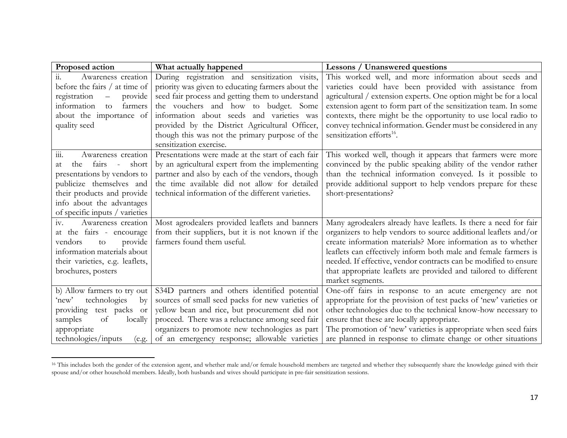| Proposed action                      | What actually happened                            | <b>Lessons / Unanswered questions</b>                             |
|--------------------------------------|---------------------------------------------------|-------------------------------------------------------------------|
| Awareness creation<br>11.            | During registration and sensitization visits,     | This worked well, and more information about seeds and            |
| before the fairs $/$ at time of      | priority was given to educating farmers about the | varieties could have been provided with assistance from           |
| provide<br>registration<br>$\equiv$  | seed fair process and getting them to understand  | agricultural / extension experts. One option might be for a local |
| information<br>farmers<br>to         | the vouchers and how to budget. Some              | extension agent to form part of the sensitization team. In some   |
| about the importance of              | information about seeds and varieties was         | contexts, there might be the opportunity to use local radio to    |
| quality seed                         | provided by the District Agricultural Officer,    | convey technical information. Gender must be considered in any    |
|                                      | though this was not the primary purpose of the    | sensitization efforts <sup>16</sup> .                             |
|                                      | sensitization exercise.                           |                                                                   |
| Awareness creation<br>111.           | Presentations were made at the start of each fair | This worked well, though it appears that farmers were more        |
| fairs -<br>short<br>the<br>at        | by an agricultural expert from the implementing   | convinced by the public speaking ability of the vendor rather     |
| presentations by vendors to          | partner and also by each of the vendors, though   | than the technical information conveyed. Is it possible to        |
| publicize themselves and             | the time available did not allow for detailed     | provide additional support to help vendors prepare for these      |
| their products and provide           | technical information of the different varieties. | short-presentations?                                              |
| info about the advantages            |                                                   |                                                                   |
| of specific inputs / varieties       |                                                   |                                                                   |
| iv.<br>Awareness creation            | Most agrodealers provided leaflets and banners    | Many agrodealers already have leaflets. Is there a need for fair  |
| at the fairs - encourage             | from their suppliers, but it is not known if the  | organizers to help vendors to source additional leaflets and/or   |
| provide<br>vendors<br>$\rm{to}$      | farmers found them useful.                        | create information materials? More information as to whether      |
| information materials about          |                                                   | leaflets can effectively inform both male and female farmers is   |
| their varieties, e.g. leaflets,      |                                                   | needed. If effective, vendor contracts can be modified to ensure  |
| brochures, posters                   |                                                   | that appropriate leaflets are provided and tailored to different  |
|                                      |                                                   | market segments.                                                  |
| b) Allow farmers to try out          | S34D partners and others identified potential     | One-off fairs in response to an acute emergency are not           |
| technologies<br>by<br>'new'          | sources of small seed packs for new varieties of  | appropriate for the provision of test packs of 'new' varieties or |
| test packs<br>providing<br><b>or</b> | yellow bean and rice, but procurement did not     | other technologies due to the technical know-how necessary to     |
| samples<br>of<br>locally             | proceed. There was a reluctance among seed fair   | ensure that these are locally appropriate.                        |
| appropriate                          | organizers to promote new technologies as part    | The promotion of 'new' varieties is appropriate when seed fairs   |
| technologies/inputs<br>(e.g.         | of an emergency response; allowable varieties     | are planned in response to climate change or other situations     |

<sup>&</sup>lt;sup>16</sup> This includes both the gender of the extension agent, and whether male and/or female household members are targeted and whether they subsequently share the knowledge gained with their spouse and/or other household members. Ideally, both husbands and wives should participate in pre-fair sensitization sessions.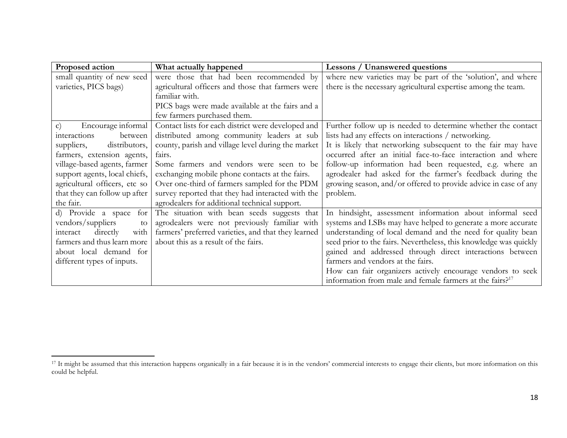| Proposed action                    | What actually happened                              | <b>Lessons / Unanswered questions</b>                                |
|------------------------------------|-----------------------------------------------------|----------------------------------------------------------------------|
| small quantity of new seed         | were those that had been recommended by             | where new varieties may be part of the 'solution', and where         |
| varieties, PICS bags)              | agricultural officers and those that farmers were   | there is the necessary agricultural expertise among the team.        |
|                                    | familiar with.                                      |                                                                      |
|                                    | PICS bags were made available at the fairs and a    |                                                                      |
|                                    | few farmers purchased them.                         |                                                                      |
| Encourage informal<br>$\mathbf{C}$ | Contact lists for each district were developed and  | Further follow up is needed to determine whether the contact         |
| interactions<br>between            | distributed among community leaders at sub          | lists had any effects on interactions / networking.                  |
| suppliers,<br>distributors,        | county, parish and village level during the market  | It is likely that networking subsequent to the fair may have         |
| farmers, extension agents,         | fairs.                                              | occurred after an initial face-to-face interaction and where         |
| village-based agents, farmer       | Some farmers and vendors were seen to be            | follow-up information had been requested, e.g. where an              |
| support agents, local chiefs,      | exchanging mobile phone contacts at the fairs.      | agrodealer had asked for the farmer's feedback during the            |
| agricultural officers, etc so      | Over one-third of farmers sampled for the PDM       | growing season, and/or offered to provide advice in case of any      |
| that they can follow up after      | survey reported that they had interacted with the   | problem.                                                             |
| the fair.                          | agrodealers for additional technical support.       |                                                                      |
| d) Provide a space<br>for          | The situation with bean seeds suggests that         | In hindsight, assessment information about informal seed             |
| vendors/suppliers<br>to            | agrodealers were not previously familiar with       | systems and LSBs may have helped to generate a more accurate         |
| directly<br>with<br>interact       | farmers' preferred varieties, and that they learned | understanding of local demand and the need for quality bean          |
| farmers and thus learn more        | about this as a result of the fairs.                | seed prior to the fairs. Nevertheless, this knowledge was quickly    |
| about local demand for             |                                                     | gained and addressed through direct interactions between             |
| different types of inputs.         |                                                     | farmers and vendors at the fairs.                                    |
|                                    |                                                     | How can fair organizers actively encourage vendors to seek           |
|                                    |                                                     | information from male and female farmers at the fairs? <sup>17</sup> |

<sup>&</sup>lt;sup>17</sup> It might be assumed that this interaction happens organically in a fair because it is in the vendors' commercial interests to engage their clients, but more information on this could be helpful.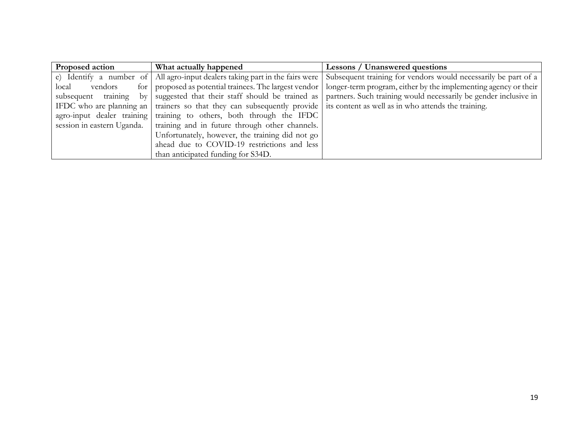| Proposed action  | What actually happened                                                                                                          | <b>Lessons / Unanswered questions</b>                            |
|------------------|---------------------------------------------------------------------------------------------------------------------------------|------------------------------------------------------------------|
|                  | e) Identify a number of All agro-input dealers taking part in the fairs were                                                    | Subsequent training for vendors would necessarily be part of a   |
| local<br>vendors | for proposed as potential trainees. The largest vendor                                                                          | longer-term program, either by the implementing agency or their  |
|                  | subsequent training by suggested that their staff should be trained as                                                          | partners. Such training would necessarily be gender inclusive in |
|                  | IFDC who are planning an   trainers so that they can subsequently provide   its content as well as in who attends the training. |                                                                  |
|                  | agro-input dealer training training to others, both through the IFDC                                                            |                                                                  |
|                  | session in eastern Uganda. I training and in future through other channels.                                                     |                                                                  |
|                  | Unfortunately, however, the training did not go                                                                                 |                                                                  |
|                  | ahead due to COVID-19 restrictions and less                                                                                     |                                                                  |
|                  | than anticipated funding for S34D.                                                                                              |                                                                  |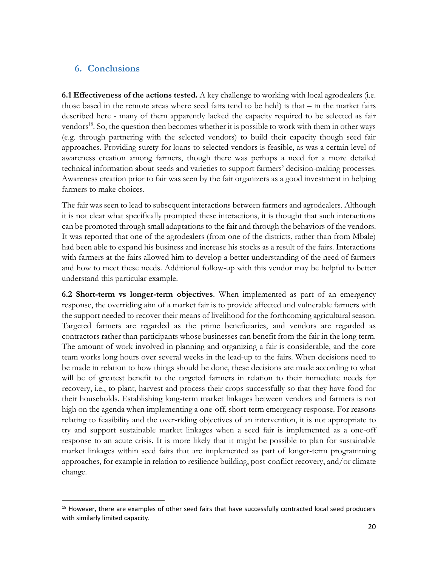### **6. Conclusions**

**6.1 Effectiveness of the actions tested.** A key challenge to working with local agrodealers (i.e. those based in the remote areas where seed fairs tend to be held) is that – in the market fairs described here - many of them apparently lacked the capacity required to be selected as fair vendors<sup>18</sup>. So, the question then becomes whether it is possible to work with them in other ways (e.g. through partnering with the selected vendors) to build their capacity though seed fair approaches. Providing surety for loans to selected vendors is feasible, as was a certain level of awareness creation among farmers, though there was perhaps a need for a more detailed technical information about seeds and varieties to support farmers' decision-making processes. Awareness creation prior to fair was seen by the fair organizers as a good investment in helping farmers to make choices.

The fair was seen to lead to subsequent interactions between farmers and agrodealers. Although it is not clear what specifically prompted these interactions, it is thought that such interactions can be promoted through small adaptations to the fair and through the behaviors of the vendors. It was reported that one of the agrodealers (from one of the districts, rather than from Mbale) had been able to expand his business and increase his stocks as a result of the fairs. Interactions with farmers at the fairs allowed him to develop a better understanding of the need of farmers and how to meet these needs. Additional follow-up with this vendor may be helpful to better understand this particular example.

**6.2 Short-term vs longer-term objectives**. When implemented as part of an emergency response, the overriding aim of a market fair is to provide affected and vulnerable farmers with the support needed to recover their means of livelihood for the forthcoming agricultural season. Targeted farmers are regarded as the prime beneficiaries, and vendors are regarded as contractors rather than participants whose businesses can benefit from the fair in the long term. The amount of work involved in planning and organizing a fair is considerable, and the core team works long hours over several weeks in the lead-up to the fairs. When decisions need to be made in relation to how things should be done, these decisions are made according to what will be of greatest benefit to the targeted farmers in relation to their immediate needs for recovery, i.e., to plant, harvest and process their crops successfully so that they have food for their households. Establishing long-term market linkages between vendors and farmers is not high on the agenda when implementing a one-off, short-term emergency response. For reasons relating to feasibility and the over-riding objectives of an intervention, it is not appropriate to try and support sustainable market linkages when a seed fair is implemented as a one-off response to an acute crisis. It is more likely that it might be possible to plan for sustainable market linkages within seed fairs that are implemented as part of longer-term programming approaches, for example in relation to resilience building, post-conflict recovery, and/or climate change.

<sup>&</sup>lt;sup>18</sup> However, there are examples of other seed fairs that have successfully contracted local seed producers with similarly limited capacity.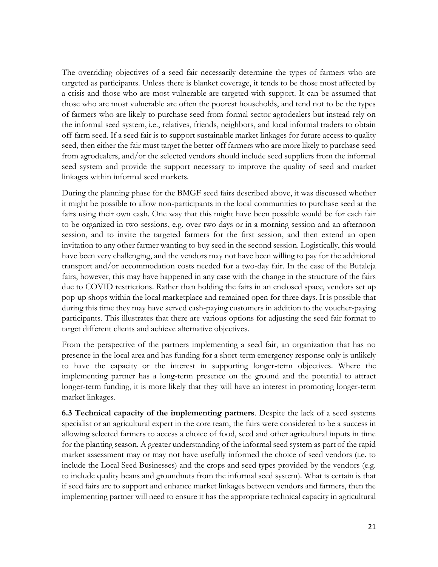The overriding objectives of a seed fair necessarily determine the types of farmers who are targeted as participants. Unless there is blanket coverage, it tends to be those most affected by a crisis and those who are most vulnerable are targeted with support. It can be assumed that those who are most vulnerable are often the poorest households, and tend not to be the types of farmers who are likely to purchase seed from formal sector agrodealers but instead rely on the informal seed system, i.e., relatives, friends, neighbors, and local informal traders to obtain off-farm seed. If a seed fair is to support sustainable market linkages for future access to quality seed, then either the fair must target the better-off farmers who are more likely to purchase seed from agrodealers, and/or the selected vendors should include seed suppliers from the informal seed system and provide the support necessary to improve the quality of seed and market linkages within informal seed markets.

During the planning phase for the BMGF seed fairs described above, it was discussed whether it might be possible to allow non-participants in the local communities to purchase seed at the fairs using their own cash. One way that this might have been possible would be for each fair to be organized in two sessions, e.g. over two days or in a morning session and an afternoon session, and to invite the targeted farmers for the first session, and then extend an open invitation to any other farmer wanting to buy seed in the second session. Logistically, this would have been very challenging, and the vendors may not have been willing to pay for the additional transport and/or accommodation costs needed for a two-day fair. In the case of the Butaleja fairs, however, this may have happened in any case with the change in the structure of the fairs due to COVID restrictions. Rather than holding the fairs in an enclosed space, vendors set up pop-up shops within the local marketplace and remained open for three days. It is possible that during this time they may have served cash-paying customers in addition to the voucher-paying participants. This illustrates that there are various options for adjusting the seed fair format to target different clients and achieve alternative objectives.

From the perspective of the partners implementing a seed fair, an organization that has no presence in the local area and has funding for a short-term emergency response only is unlikely to have the capacity or the interest in supporting longer-term objectives. Where the implementing partner has a long-term presence on the ground and the potential to attract longer-term funding, it is more likely that they will have an interest in promoting longer-term market linkages.

**6.3 Technical capacity of the implementing partners**. Despite the lack of a seed systems specialist or an agricultural expert in the core team, the fairs were considered to be a success in allowing selected farmers to access a choice of food, seed and other agricultural inputs in time for the planting season. A greater understanding of the informal seed system as part of the rapid market assessment may or may not have usefully informed the choice of seed vendors (i.e. to include the Local Seed Businesses) and the crops and seed types provided by the vendors (e.g. to include quality beans and groundnuts from the informal seed system). What is certain is that if seed fairs are to support and enhance market linkages between vendors and farmers, then the implementing partner will need to ensure it has the appropriate technical capacity in agricultural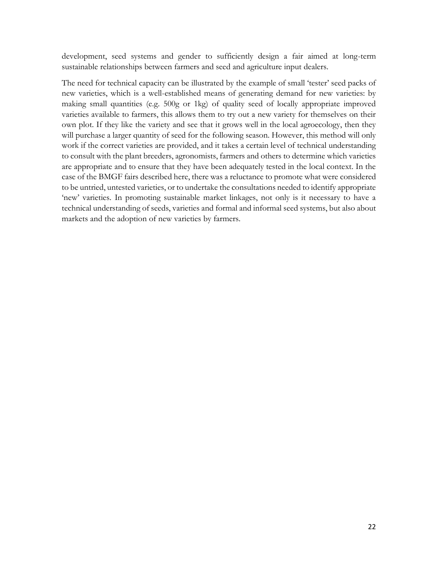development, seed systems and gender to sufficiently design a fair aimed at long-term sustainable relationships between farmers and seed and agriculture input dealers.

The need for technical capacity can be illustrated by the example of small 'tester' seed packs of new varieties, which is a well-established means of generating demand for new varieties: by making small quantities (e.g. 500g or 1kg) of quality seed of locally appropriate improved varieties available to farmers, this allows them to try out a new variety for themselves on their own plot. If they like the variety and see that it grows well in the local agroecology, then they will purchase a larger quantity of seed for the following season. However, this method will only work if the correct varieties are provided, and it takes a certain level of technical understanding to consult with the plant breeders, agronomists, farmers and others to determine which varieties are appropriate and to ensure that they have been adequately tested in the local context. In the case of the BMGF fairs described here, there was a reluctance to promote what were considered to be untried, untested varieties, or to undertake the consultations needed to identify appropriate 'new' varieties. In promoting sustainable market linkages, not only is it necessary to have a technical understanding of seeds, varieties and formal and informal seed systems, but also about markets and the adoption of new varieties by farmers.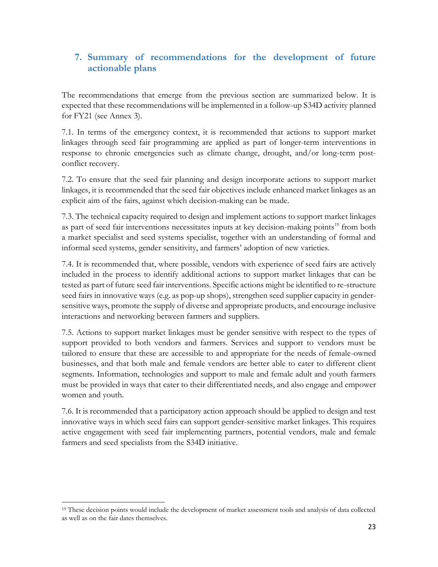# **7. Summary of recommendations for the development of future actionable plans**

The recommendations that emerge from the previous section are summarized below. It is expected that these recommendations will be implemented in a follow-up S34D activity planned for FY21 (see Annex 3).

7.1. In terms of the emergency context, it is recommended that actions to support market linkages through seed fair programming are applied as part of longer-term interventions in response to chronic emergencies such as climate change, drought, and/or long-term postconflict recovery.

7.2. To ensure that the seed fair planning and design incorporate actions to support market linkages, it is recommended that the seed fair objectives include enhanced market linkages as an explicit aim of the fairs, against which decision-making can be made.

7.3. The technical capacity required to design and implement actions to support market linkages as part of seed fair interventions necessitates inputs at key decision-making points<sup>19</sup> from both a market specialist and seed systems specialist, together with an understanding of formal and informal seed systems, gender sensitivity, and farmers' adoption of new varieties.

7.4. It is recommended that, where possible, vendors with experience of seed fairs are actively included in the process to identify additional actions to support market linkages that can be tested as part of future seed fair interventions. Specific actions might be identified to re-structure seed fairs in innovative ways (e.g. as pop-up shops), strengthen seed supplier capacity in gendersensitive ways, promote the supply of diverse and appropriate products, and encourage inclusive interactions and networking between farmers and suppliers.

7.5. Actions to support market linkages must be gender sensitive with respect to the types of support provided to both vendors and farmers. Services and support to vendors must be tailored to ensure that these are accessible to and appropriate for the needs of female-owned businesses, and that both male and female vendors are better able to cater to different client segments. Information, technologies and support to male and female adult and youth farmers must be provided in ways that cater to their differentiated needs, and also engage and empower women and youth.

7.6. It is recommended that a participatory action approach should be applied to design and test innovative ways in which seed fairs can support gender-sensitive market linkages. This requires active engagement with seed fair implementing partners, potential vendors, male and female farmers and seed specialists from the S34D initiative.

<sup>&</sup>lt;sup>19</sup> These decision points would include the development of market assessment tools and analysis of data collected as well as on the fair dates themselves.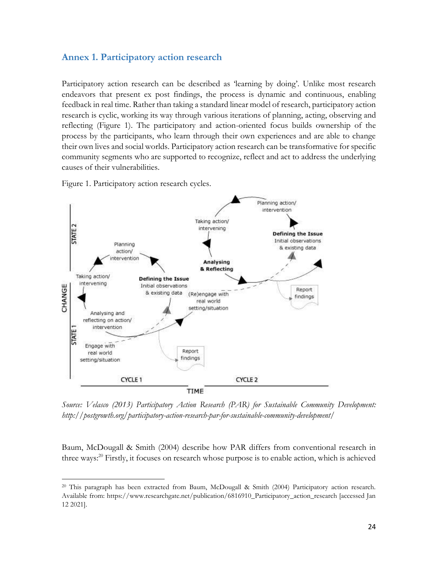#### **Annex 1. Participatory action research**

Participatory action research can be described as 'learning by doing'. Unlike most research endeavors that present ex post findings, the process is dynamic and continuous, enabling feedback in real time. Rather than taking a standard linear model of research, participatory action research is cyclic, working its way through various iterations of planning, acting, observing and reflecting (Figure 1). The participatory and action-oriented focus builds ownership of the process by the participants, who learn through their own experiences and are able to change their own lives and social worlds. Participatory action research can be transformative for specific community segments who are supported to recognize, reflect and act to address the underlying causes of their vulnerabilities.

Figure 1. Participatory action research cycles.



*Source: Velasco (2013) Participatory Action Research (PAR) for Sustainable Community Development: http://postgrowth.org/participatory-action-research-par-for-sustainable-community-development/*

Baum, McDougall & Smith (2004) describe how PAR differs from conventional research in three ways:<sup>20</sup> Firstly, it focuses on research whose purpose is to enable action, which is achieved

<sup>20</sup> This paragraph has been extracted from Baum, McDougall & Smith (2004) Participatory action research. Available from: https://www.researchgate.net/publication/6816910\_Participatory\_action\_research [accessed Jan 12 2021].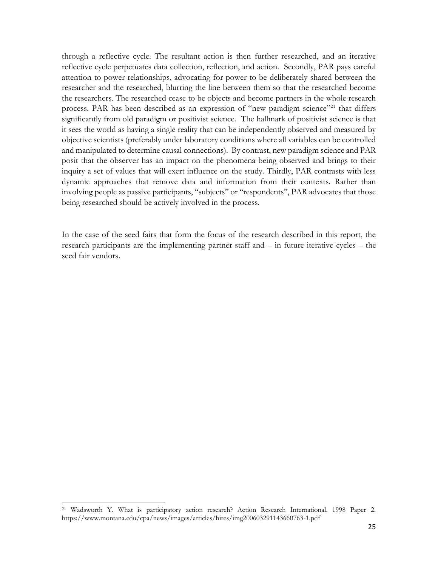through a reflective cycle. The resultant action is then further researched, and an iterative reflective cycle perpetuates data collection, reflection, and action. Secondly, PAR pays careful attention to power relationships, advocating for power to be deliberately shared between the researcher and the researched, blurring the line between them so that the researched become the researchers. The researched cease to be objects and become partners in the whole research process. PAR has been described as an expression of "new paradigm science"<sup>21</sup> that differs significantly from old paradigm or positivist science. The hallmark of positivist science is that it sees the world as having a single reality that can be independently observed and measured by objective scientists (preferably under laboratory conditions where all variables can be controlled and manipulated to determine causal connections). By contrast, new paradigm science and PAR posit that the observer has an impact on the phenomena being observed and brings to their inquiry a set of values that will exert influence on the study. Thirdly, PAR contrasts with less dynamic approaches that remove data and information from their contexts. Rather than involving people as passive participants, ''subjects'' or ''respondents'', PAR advocates that those being researched should be actively involved in the process.

In the case of the seed fairs that form the focus of the research described in this report, the research participants are the implementing partner staff and – in future iterative cycles – the seed fair vendors.

<sup>21</sup> Wadsworth Y. What is participatory action research? Action Research International. 1998 Paper 2. https://www.montana.edu/cpa/news/images/articles/hires/img200603291143660763-1.pdf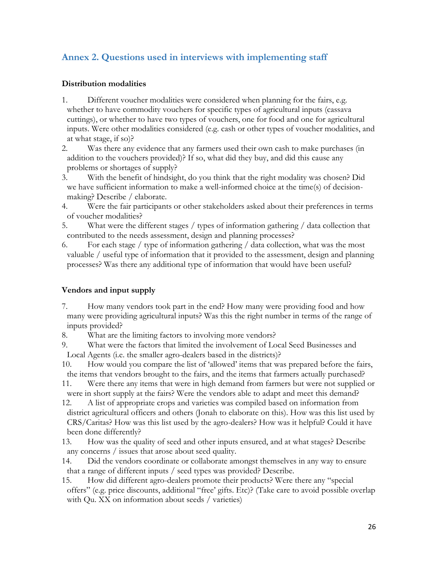# **Annex 2. Questions used in interviews with implementing staff**

#### **Distribution modalities**

- 1. Different voucher modalities were considered when planning for the fairs, e.g. whether to have commodity vouchers for specific types of agricultural inputs (cassava cuttings), or whether to have two types of vouchers, one for food and one for agricultural inputs. Were other modalities considered (e.g. cash or other types of voucher modalities, and at what stage, if so)?
- 2. Was there any evidence that any farmers used their own cash to make purchases (in addition to the vouchers provided)? If so, what did they buy, and did this cause any problems or shortages of supply?
- 3. With the benefit of hindsight, do you think that the right modality was chosen? Did we have sufficient information to make a well-informed choice at the time(s) of decisionmaking? Describe / elaborate.
- 4. Were the fair participants or other stakeholders asked about their preferences in terms of voucher modalities?
- 5. What were the different stages / types of information gathering / data collection that contributed to the needs assessment, design and planning processes?
- 6. For each stage / type of information gathering / data collection, what was the most valuable / useful type of information that it provided to the assessment, design and planning processes? Was there any additional type of information that would have been useful?

### **Vendors and input supply**

- 7. How many vendors took part in the end? How many were providing food and how many were providing agricultural inputs? Was this the right number in terms of the range of inputs provided?
- 8. What are the limiting factors to involving more vendors?
- 9. What were the factors that limited the involvement of Local Seed Businesses and Local Agents (i.e. the smaller agro-dealers based in the districts)?
- 10. How would you compare the list of 'allowed' items that was prepared before the fairs, the items that vendors brought to the fairs, and the items that farmers actually purchased?

11. Were there any items that were in high demand from farmers but were not supplied or were in short supply at the fairs? Were the vendors able to adapt and meet this demand?

- 12. A list of appropriate crops and varieties was compiled based on information from district agricultural officers and others (Jonah to elaborate on this). How was this list used by CRS/Caritas? How was this list used by the agro-dealers? How was it helpful? Could it have been done differently?
- 13. How was the quality of seed and other inputs ensured, and at what stages? Describe any concerns / issues that arose about seed quality.
- 14. Did the vendors coordinate or collaborate amongst themselves in any way to ensure that a range of different inputs / seed types was provided? Describe.
- 15. How did different agro-dealers promote their products? Were there any "special offers" (e.g. price discounts, additional "free' gifts. Etc)? (Take care to avoid possible overlap with Qu. XX on information about seeds / varieties)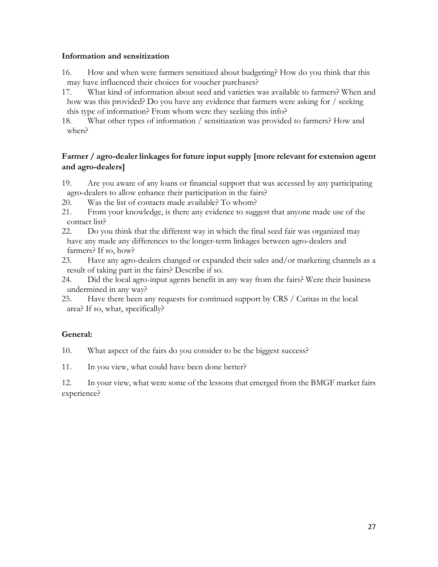#### **Information and sensitization**

- 16. How and when were farmers sensitized about budgeting? How do you think that this may have influenced their choices for voucher purchases?
- 17. What kind of information about seed and varieties was available to farmers? When and how was this provided? Do you have any evidence that farmers were asking for / seeking this type of information? From whom were they seeking this info?

18. What other types of information / sensitization was provided to farmers? How and when?

#### **Farmer / agro-dealer linkages for future input supply [more relevant for extension agent and agro-dealers]**

- 19. Are you aware of any loans or financial support that was accessed by any participating agro-dealers to allow enhance their participation in the fairs?
- 20. Was the list of contacts made available? To whom?
- 21. From your knowledge, is there any evidence to suggest that anyone made use of the contact list?
- 22. Do you think that the different way in which the final seed fair was organized may have any made any differences to the longer-term linkages between agro-dealers and farmers? If so, how?
- 23. Have any agro-dealers changed or expanded their sales and/or marketing channels as a result of taking part in the fairs? Describe if so.
- 24. Did the local agro-input agents benefit in any way from the fairs? Were their business undermined in any way?
- 25. Have there been any requests for continued support by CRS / Caritas in the local area? If so, what, specifically?

### **General:**

10. What aspect of the fairs do you consider to be the biggest success?

11. In you view, what could have been done better?

12. In your view, what were some of the lessons that emerged from the BMGF market fairs experience?